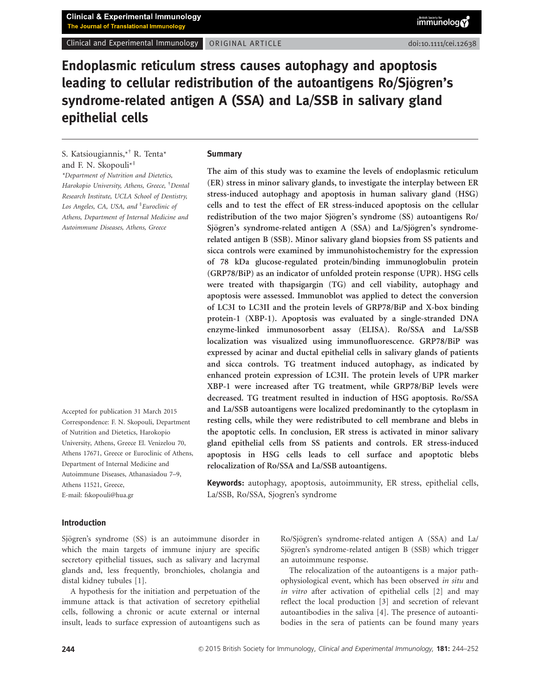Clinical and Experimental Immunology ORIGINAL ARTICLE doi:10.1111/cei.12638

Endoplasmic reticulum stress causes autophagy and apoptosis leading to cellular redistribution of the autoantigens Ro/Sjögren's syndrome-related antigen A (SSA) and La/SSB in salivary gland epithelial cells

S. Katsiougiannis,\* † R. Tenta\* and F. N. Skopouli\* ‡ \*Department of Nutrition and Dietetics, Harokopio University, Athens, Greece, † Dental Research Institute, UCLA School of Dentistry, Los Angeles, CA, USA, and <sup>‡</sup>Euroclinic of Athens, Department of Internal Medicine and

Autoimmune Diseases, Athens, Greece

Accepted for publication 31 March 2015 Correspondence: F. N. Skopouli, Department of Nutrition and Dietetics, Harokopio University, Athens, Greece El. Venizelou 70, Athens 17671, Greece or Euroclinic of Athens, Department of Internal Medicine and Autoimmune Diseases, Athanasiadou 7–9, Athens 11521, Greece, E-mail: fskopouli@hua.gr

#### **Summary**

The aim of this study was to examine the levels of endoplasmic reticulum (ER) stress in minor salivary glands, to investigate the interplay between ER stress-induced autophagy and apoptosis in human salivary gland (HSG) cells and to test the effect of ER stress-induced apoptosis on the cellular redistribution of the two major Sjögren's syndrome (SS) autoantigens Ro/ Sjögren's syndrome-related antigen A (SSA) and La/Sjögren's syndromerelated antigen B (SSB). Minor salivary gland biopsies from SS patients and sicca controls were examined by immunohistochemistry for the expression of 78 kDa glucose-regulated protein/binding immunoglobulin protein (GRP78/BiP) as an indicator of unfolded protein response (UPR). HSG cells were treated with thapsigargin (TG) and cell viability, autophagy and apoptosis were assessed. Immunoblot was applied to detect the conversion of LC3I to LC3II and the protein levels of GRP78/BiP and X-box binding protein-1 (XBP-1). Apoptosis was evaluated by a single-stranded DNA enzyme-linked immunosorbent assay (ELISA). Ro/SSA and La/SSB localization was visualized using immunofluorescence. GRP78/BiP was expressed by acinar and ductal epithelial cells in salivary glands of patients and sicca controls. TG treatment induced autophagy, as indicated by enhanced protein expression of LC3II. The protein levels of UPR marker XBP-1 were increased after TG treatment, while GRP78/BiP levels were decreased. TG treatment resulted in induction of HSG apoptosis. Ro/SSA and La/SSB autoantigens were localized predominantly to the cytoplasm in resting cells, while they were redistributed to cell membrane and blebs in the apoptotic cells. In conclusion, ER stress is activated in minor salivary gland epithelial cells from SS patients and controls. ER stress-induced apoptosis in HSG cells leads to cell surface and apoptotic blebs relocalization of Ro/SSA and La/SSB autoantigens.

Keywords: autophagy, apoptosis, autoimmunity, ER stress, epithelial cells, La/SSB, Ro/SSA, Sjogren's syndrome

### Introduction

Sjögren's syndrome (SS) is an autoimmune disorder in which the main targets of immune injury are specific secretory epithelial tissues, such as salivary and lacrymal glands and, less frequently, bronchioles, cholangia and distal kidney tubules [1].

A hypothesis for the initiation and perpetuation of the immune attack is that activation of secretory epithelial cells, following a chronic or acute external or internal insult, leads to surface expression of autoantigens such as

Ro/Sjögren's syndrome-related antigen A (SSA) and La/ Sjögren's syndrome-related antigen B (SSB) which trigger an autoimmune response.

The relocalization of the autoantigens is a major pathophysiological event, which has been observed in situ and in vitro after activation of epithelial cells [2] and may reflect the local production [3] and secretion of relevant autoantibodies in the saliva [4]. The presence of autoantibodies in the sera of patients can be found many years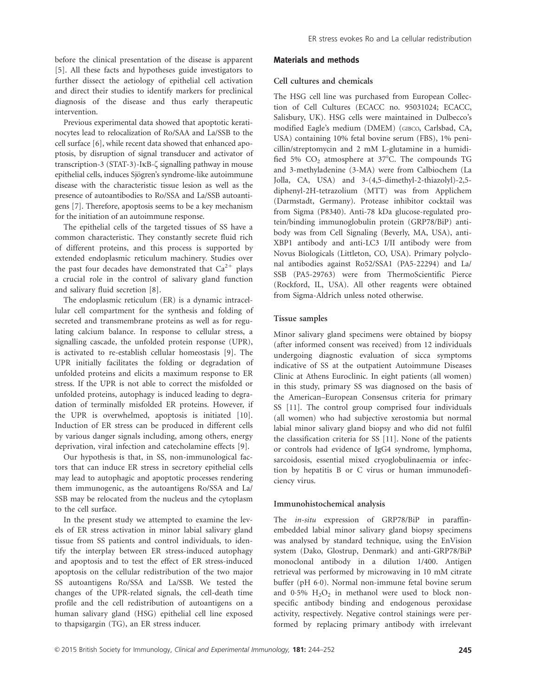before the clinical presentation of the disease is apparent [5]. All these facts and hypotheses guide investigators to further dissect the aetiology of epithelial cell activation and direct their studies to identify markers for preclinical diagnosis of the disease and thus early therapeutic intervention.

Previous experimental data showed that apoptotic keratinocytes lead to relocalization of Ro/SAA and La/SSB to the cell surface [6], while recent data showed that enhanced apoptosis, by disruption of signal transducer and activator of transcription-3 (STAT-3)-IKB- $\zeta$  signalling pathway in mouse epithelial cells, induces Sjögren's syndrome-like autoimmune disease with the characteristic tissue lesion as well as the presence of autoantibodies to Ro/SSA and La/SSB autoantigens [7]. Therefore, apoptosis seems to be a key mechanism for the initiation of an autoimmune response.

The epithelial cells of the targeted tissues of SS have a common characteristic. They constantly secrete fluid rich of different proteins, and this process is supported by extended endoplasmic reticulum machinery. Studies over the past four decades have demonstrated that  $Ca^{2+}$  plays a crucial role in the control of salivary gland function and salivary fluid secretion [8].

The endoplasmic reticulum (ER) is a dynamic intracellular cell compartment for the synthesis and folding of secreted and transmembrane proteins as well as for regulating calcium balance. In response to cellular stress, a signalling cascade, the unfolded protein response (UPR), is activated to re-establish cellular homeostasis [9]. The UPR initially facilitates the folding or degradation of unfolded proteins and elicits a maximum response to ER stress. If the UPR is not able to correct the misfolded or unfolded proteins, autophagy is induced leading to degradation of terminally misfolded ER proteins. However, if the UPR is overwhelmed, apoptosis is initiated [10]. Induction of ER stress can be produced in different cells by various danger signals including, among others, energy deprivation, viral infection and catecholamine effects [9].

Our hypothesis is that, in SS, non-immunological factors that can induce ER stress in secretory epithelial cells may lead to autophagic and apoptotic processes rendering them immunogenic, as the autoantigens Ro/SSA and La/ SSB may be relocated from the nucleus and the cytoplasm to the cell surface.

In the present study we attempted to examine the levels of ER stress activation in minor labial salivary gland tissue from SS patients and control individuals, to identify the interplay between ER stress-induced autophagy and apoptosis and to test the effect of ER stress-induced apoptosis on the cellular redistribution of the two major SS autoantigens Ro/SSA and La/SSB. We tested the changes of the UPR-related signals, the cell-death time profile and the cell redistribution of autoantigens on a human salivary gland (HSG) epithelial cell line exposed to thapsigargin (TG), an ER stress inducer.

#### Materials and methods

### Cell cultures and chemicals

The HSG cell line was purchased from European Collection of Cell Cultures (ECACC no. 95031024; ECACC, Salisbury, UK). HSG cells were maintained in Dulbecco's modified Eagle's medium (DMEM) (GIBCO, Carlsbad, CA, USA) containing 10% fetal bovine serum (FBS), 1% penicillin/streptomycin and 2 mM L-glutamine in a humidified 5%  $CO<sub>2</sub>$  atmosphere at 37 $^{\circ}$ C. The compounds TG and 3-methyladenine (3-MA) were from Calbiochem (La Jolla, CA, USA) and 3-(4,5-dimethyl-2-thiazolyl)-2,5 diphenyl-2H-tetrazolium (MTT) was from Applichem (Darmstadt, Germany). Protease inhibitor cocktail was from Sigma (P8340). Anti-78 kDa glucose-regulated protein/binding immunoglobulin protein (GRP78/BiP) antibody was from Cell Signaling (Beverly, MA, USA), anti-XBP1 antibody and anti-LC3 I/II antibody were from Novus Biologicals (Littleton, CO, USA). Primary polyclonal antibodies against Ro52/SSA1 (PA5-22294) and La/ SSB (PA5-29763) were from ThermoScientific Pierce (Rockford, IL, USA). All other reagents were obtained from Sigma-Aldrich unless noted otherwise.

### Tissue samples

Minor salivary gland specimens were obtained by biopsy (after informed consent was received) from 12 individuals undergoing diagnostic evaluation of sicca symptoms indicative of SS at the outpatient Autoimmune Diseases Clinic at Athens Euroclinic. In eight patients (all women) in this study, primary SS was diagnosed on the basis of the American–European Consensus criteria for primary SS [11]. The control group comprised four individuals (all women) who had subjective xerostomia but normal labial minor salivary gland biopsy and who did not fulfil the classification criteria for SS [11]. None of the patients or controls had evidence of IgG4 syndrome, lymphoma, sarcoidosis, essential mixed cryoglobulinaemia or infection by hepatitis B or C virus or human immunodeficiency virus.

#### Immunohistochemical analysis

The in-situ expression of GRP78/BiP in paraffinembedded labial minor salivary gland biopsy specimens was analysed by standard technique, using the EnVision system (Dako, Glostrup, Denmark) and anti-GRP78/BiP monoclonal antibody in a dilution 1/400. Antigen retrieval was performed by microwaving in 10 mM citrate buffer (pH 6-0). Normal non-immune fetal bovine serum and  $0.5\%$   $H_2O_2$  in methanol were used to block nonspecific antibody binding and endogenous peroxidase activity, respectively. Negative control stainings were performed by replacing primary antibody with irrelevant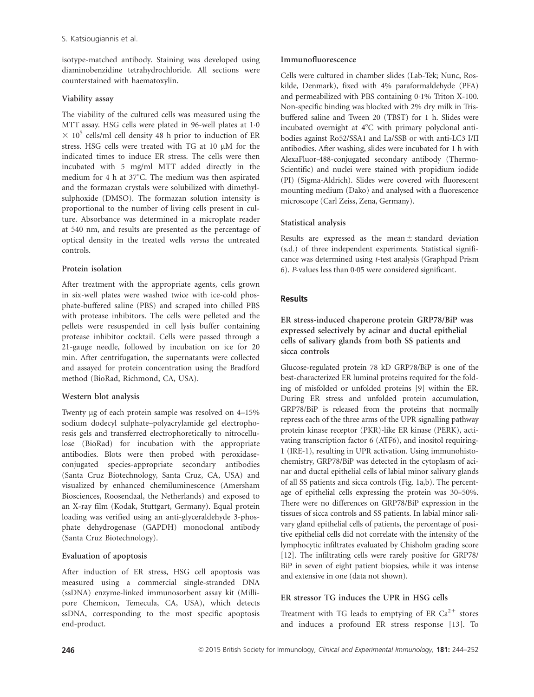isotype-matched antibody. Staining was developed using diaminobenzidine tetrahydrochloride. All sections were counterstained with haematoxylin.

# Viability assay

The viability of the cultured cells was measured using the MTT assay. HSG cells were plated in 96-well plates at 1-0  $\times$  10<sup>5</sup> cells/ml cell density 48 h prior to induction of ER stress. HSG cells were treated with TG at 10 µM for the indicated times to induce ER stress. The cells were then incubated with 5 mg/ml MTT added directly in the medium for 4 h at  $37^{\circ}$ C. The medium was then aspirated and the formazan crystals were solubilized with dimethylsulphoxide (DMSO). The formazan solution intensity is proportional to the number of living cells present in culture. Absorbance was determined in a microplate reader at 540 nm, and results are presented as the percentage of optical density in the treated wells versus the untreated controls.

# Protein isolation

After treatment with the appropriate agents, cells grown in six-well plates were washed twice with ice-cold phosphate-buffered saline (PBS) and scraped into chilled PBS with protease inhibitors. The cells were pelleted and the pellets were resuspended in cell lysis buffer containing protease inhibitor cocktail. Cells were passed through a 21-gauge needle, followed by incubation on ice for 20 min. After centrifugation, the supernatants were collected and assayed for protein concentration using the Bradford method (BioRad, Richmond, CA, USA).

# Western blot analysis

Twenty lg of each protein sample was resolved on 4–15% sodium dodecyl sulphate–polyacrylamide gel electrophoresis gels and transferred electrophoretically to nitrocellulose (BioRad) for incubation with the appropriate antibodies. Blots were then probed with peroxidaseconjugated species-appropriate secondary antibodies (Santa Cruz Biotechnology, Santa Cruz, CA, USA) and visualized by enhanced chemiluminescence (Amersham Biosciences, Roosendaal, the Netherlands) and exposed to an X-ray film (Kodak, Stuttgart, Germany). Equal protein loading was verified using an anti-glyceraldehyde 3-phosphate dehydrogenase (GAPDH) monoclonal antibody (Santa Cruz Biotechnology).

# Evaluation of apoptosis

After induction of ER stress, HSG cell apoptosis was measured using a commercial single-stranded DNA (ssDNA) enzyme-linked immunosorbent assay kit (Millipore Chemicon, Temecula, CA, USA), which detects ssDNA, corresponding to the most specific apoptosis end-product.

# Immunofluorescence

Cells were cultured in chamber slides (Lab-Tek; Nunc, Roskilde, Denmark), fixed with 4% paraformaldehyde (PFA) and permeabilized with PBS containing 0-1% Triton X-100. Non-specific binding was blocked with 2% dry milk in Trisbuffered saline and Tween 20 (TBST) for 1 h. Slides were incubated overnight at  $4^{\circ}$ C with primary polyclonal antibodies against Ro52/SSA1 and La/SSB or with anti-LC3 I/II antibodies. After washing, slides were incubated for 1 h with AlexaFluor-488-conjugated secondary antibody (Thermo-Scientific) and nuclei were stained with propidium iodide (PI) (Sigma-Aldrich). Slides were covered with fluorescent mounting medium (Dako) and analysed with a fluorescence microscope (Carl Zeiss, Zena, Germany).

# Statistical analysis

Results are expressed as the mean  $\pm$  standard deviation (s.d.) of three independent experiments. Statistical significance was determined using t-test analysis (Graphpad Prism 6). P-values less than 0-05 were considered significant.

# **Results**

ER stress-induced chaperone protein GRP78/BiP was expressed selectively by acinar and ductal epithelial cells of salivary glands from both SS patients and sicca controls

Glucose-regulated protein 78 kD GRP78/BiP is one of the best-characterized ER luminal proteins required for the folding of misfolded or unfolded proteins [9] within the ER. During ER stress and unfolded protein accumulation, GRP78/BiP is released from the proteins that normally repress each of the three arms of the UPR signalling pathway protein kinase receptor (PKR)-like ER kinase (PERK), activating transcription factor 6 (ATF6), and inositol requiring-1 (IRE-1), resulting in UPR activation. Using immunohistochemistry, GRP78/BiP was detected in the cytoplasm of acinar and ductal epithelial cells of labial minor salivary glands of all SS patients and sicca controls (Fig. 1a,b). The percentage of epithelial cells expressing the protein was 30–50%. There were no differences on GRP78/BiP expression in the tissues of sicca controls and SS patients. In labial minor salivary gland epithelial cells of patients, the percentage of positive epithelial cells did not correlate with the intensity of the lymphocytic infiltrates evaluated by Chisholm grading score [12]. The infiltrating cells were rarely positive for GRP78/ BiP in seven of eight patient biopsies, while it was intense and extensive in one (data not shown).

# ER stressor TG induces the UPR in HSG cells

Treatment with TG leads to emptying of ER  $Ca^{2+}$  stores and induces a profound ER stress response [13]. To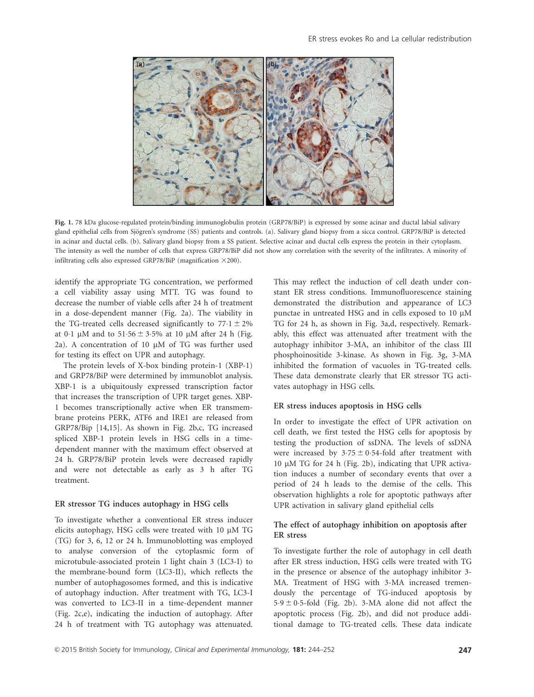

Fig. 1. 78 kDa glucose-regulated protein/binding immunoglobulin protein (GRP78/BiP) is expressed by some acinar and ductal labial salivary gland epithelial cells from Sjögren's syndrome (SS) patients and controls. (a). Salivary gland biopsy from a sicca control. GRP78/BiP is detected in acinar and ductal cells. (b). Salivary gland biopsy from a SS patient. Selective acinar and ductal cells express the protein in their cytoplasm. The intensity as well the number of cells that express GRP78/BiP did not show any correlation with the severity of the infiltrates. A minority of infiltrating cells also expressed GRP78/BiP (magnification  $\times$ 200).

identify the appropriate TG concentration, we performed a cell viability assay using MTT. TG was found to decrease the number of viable cells after 24 h of treatment in a dose-dependent manner (Fig. 2a). The viability in the TG-treated cells decreased significantly to  $77.1 \pm 2\%$ at 0 $\cdot$ 1 µM and to 51 $\cdot$ 56  $\pm$  3 $\cdot$ 5% at 10 µM after 24 h (Fig. 2a). A concentration of 10  $\mu$ M of TG was further used for testing its effect on UPR and autophagy.

The protein levels of X-box binding protein-1 (XBP-1) and GRP78/BiP were determined by immunoblot analysis. XBP-1 is a ubiquitously expressed transcription factor that increases the transcription of UPR target genes. XBP-1 becomes transcriptionally active when ER transmembrane proteins PERK, ATF6 and IRE1 are released from GRP78/Bip [14,15]. As shown in Fig. 2b,c, TG increased spliced XBP-1 protein levels in HSG cells in a timedependent manner with the maximum effect observed at 24 h. GRP78/BiP protein levels were decreased rapidly and were not detectable as early as 3 h after TG treatment.

#### ER stressor TG induces autophagy in HSG cells

To investigate whether a conventional ER stress inducer elicits autophagy, HSG cells were treated with 10  $\mu$ M TG (TG) for 3, 6, 12 or 24 h. Immunoblotting was employed to analyse conversion of the cytoplasmic form of microtubule-associated protein 1 light chain 3 (LC3-I) to the membrane-bound form (LC3-II), which reflects the number of autophagosomes formed, and this is indicative of autophagy induction. After treatment with TG, LC3-I was converted to LC3-II in a time-dependent manner (Fig. 2c,e), indicating the induction of autophagy. After 24 h of treatment with TG autophagy was attenuated. This may reflect the induction of cell death under constant ER stress conditions. Immunofluorescence staining demonstrated the distribution and appearance of LC3 punctae in untreated HSG and in cells exposed to 10  $\mu$ M TG for 24 h, as shown in Fig. 3a,d, respectively. Remarkably, this effect was attenuated after treatment with the autophagy inhibitor 3-MA, an inhibitor of the class III phosphoinositide 3-kinase. As shown in Fig. 3g, 3-MA inhibited the formation of vacuoles in TG-treated cells. These data demonstrate clearly that ER stressor TG activates autophagy in HSG cells.

### ER stress induces apoptosis in HSG cells

In order to investigate the effect of UPR activation on cell death, we first tested the HSG cells for apoptosis by testing the production of ssDNA. The levels of ssDNA were increased by  $3.75 \pm 0.54$ -fold after treatment with 10  $\mu$ M TG for 24 h (Fig. 2b), indicating that UPR activation induces a number of secondary events that over a period of 24 h leads to the demise of the cells. This observation highlights a role for apoptotic pathways after UPR activation in salivary gland epithelial cells

# The effect of autophagy inhibition on apoptosis after ER stress

To investigate further the role of autophagy in cell death after ER stress induction, HSG cells were treated with TG in the presence or absence of the autophagy inhibitor 3- MA. Treatment of HSG with 3-MA increased tremendously the percentage of TG-induced apoptosis by  $5.9 \pm 0.5$ -fold (Fig. 2b). 3-MA alone did not affect the apoptotic process (Fig. 2b), and did not produce additional damage to TG-treated cells. These data indicate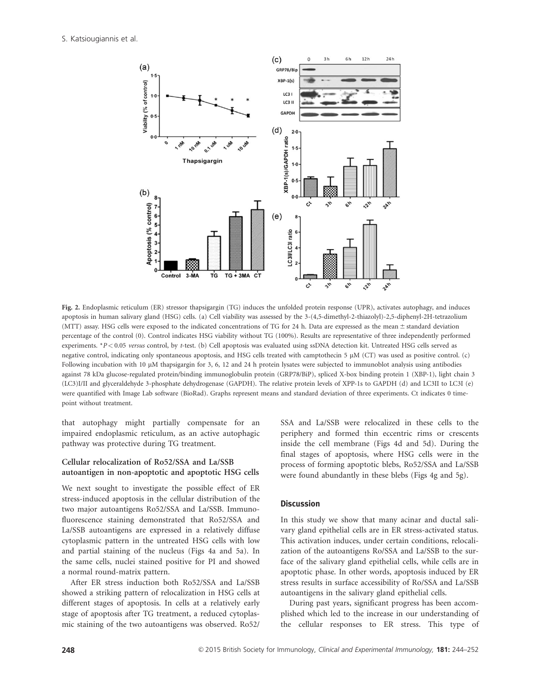S. Katsiougiannis et al.



Fig. 2. Endoplasmic reticulum (ER) stressor thapsigargin (TG) induces the unfolded protein response (UPR), activates autophagy, and induces apoptosis in human salivary gland (HSG) cells. (a) Cell viability was assessed by the 3-(4,5-dimethyl-2-thiazolyl)-2,5-diphenyl-2H-tetrazolium (MTT) assay. HSG cells were exposed to the indicated concentrations of TG for 24 h. Data are expressed as the mean  $\pm$  standard deviation percentage of the control (0). Control indicates HSG viability without TG (100%). Results are representative of three independently performed experiments. \*P < 0.05 versus control, by t-test. (b) Cell apoptosis was evaluated using ssDNA detection kit. Untreated HSG cells served as negative control, indicating only spontaneous apoptosis, and HSG cells treated with camptothecin 5 lM (CT) was used as positive control. (c) Following incubation with 10 µM thapsigargin for 3, 6, 12 and 24 h protein lysates were subjected to immunoblot analysis using antibodies against 78 kDa glucose-regulated protein/binding immunoglobulin protein (GRP78/BiP), spliced X-box binding protein 1 (XBP-1), light chain 3 (LC3)I/II and glyceraldehyde 3-phosphate dehydrogenase (GAPDH). The relative protein levels of XPP-1s to GAPDH (d) and LC3II to LC3I (e) were quantified with Image Lab software (BioRad). Graphs represent means and standard deviation of three experiments. Ct indicates 0 timepoint without treatment.

that autophagy might partially compensate for an impaired endoplasmic reticulum, as an active autophagic pathway was protective during TG treatment.

# Cellular relocalization of Ro52/SSA and La/SSB autoantigen in non-apoptotic and apoptotic HSG cells

We next sought to investigate the possible effect of ER stress-induced apoptosis in the cellular distribution of the two major autoantigens Ro52/SSA and La/SSB. Immunofluorescence staining demonstrated that Ro52/SSA and La/SSB autoantigens are expressed in a relatively diffuse cytoplasmic pattern in the untreated HSG cells with low and partial staining of the nucleus (Figs 4a and 5a). In the same cells, nuclei stained positive for PI and showed a normal round-matrix pattern.

After ER stress induction both Ro52/SSA and La/SSB showed a striking pattern of relocalization in HSG cells at different stages of apoptosis. In cells at a relatively early stage of apoptosis after TG treatment, a reduced cytoplasmic staining of the two autoantigens was observed. Ro52/

SSA and La/SSB were relocalized in these cells to the periphery and formed thin eccentric rims or crescents inside the cell membrane (Figs 4d and 5d). During the final stages of apoptosis, where HSG cells were in the process of forming apoptotic blebs, Ro52/SSA and La/SSB were found abundantly in these blebs (Figs 4g and 5g).

# **Discussion**

In this study we show that many acinar and ductal salivary gland epithelial cells are in ER stress-activated status. This activation induces, under certain conditions, relocalization of the autoantigens Ro/SSA and La/SSB to the surface of the salivary gland epithelial cells, while cells are in apoptotic phase. In other words, apoptosis induced by ER stress results in surface accessibility of Ro/SSA and La/SSB autoantigens in the salivary gland epithelial cells.

During past years, significant progress has been accomplished which led to the increase in our understanding of the cellular responses to ER stress. This type of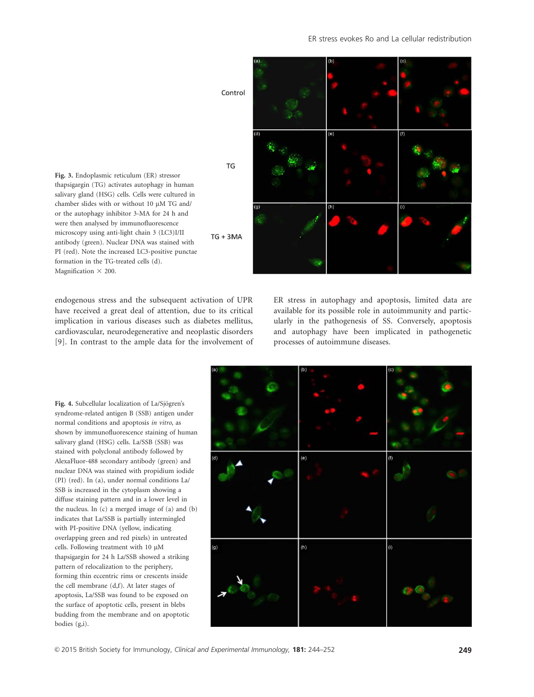

Fig. 3. Endoplasmic reticulum (ER) stressor thapsigargin (TG) activates autophagy in human salivary gland (HSG) cells. Cells were cultured in chamber slides with or without 10 µM TG and/ or the autophagy inhibitor 3-MA for 24 h and were then analysed by immunofluorescence microscopy using anti-light chain 3 (LC3)I/II antibody (green). Nuclear DNA was stained with PI (red). Note the increased LC3-positive punctae formation in the TG-treated cells (d). Magnification  $\times$  200.

endogenous stress and the subsequent activation of UPR have received a great deal of attention, due to its critical implication in various diseases such as diabetes mellitus, cardiovascular, neurodegenerative and neoplastic disorders [9]. In contrast to the ample data for the involvement of ER stress in autophagy and apoptosis, limited data are available for its possible role in autoimmunity and particularly in the pathogenesis of SS. Conversely, apoptosis and autophagy have been implicated in pathogenetic processes of autoimmune diseases.

Fig. 4. Subcellular localization of La/Sjögren's syndrome-related antigen B (SSB) antigen under normal conditions and apoptosis in vitro, as shown by immunofluorescence staining of human salivary gland (HSG) cells. La/SSB (SSB) was stained with polyclonal antibody followed by AlexaFluor-488 secondary antibody (green) and nuclear DNA was stained with propidium iodide (PI) (red). In (a), under normal conditions La/ SSB is increased in the cytoplasm showing a diffuse staining pattern and in a lower level in the nucleus. In (c) a merged image of (a) and (b) indicates that La/SSB is partially intermingled with PI-positive DNA (yellow, indicating overlapping green and red pixels) in untreated cells. Following treatment with  $10 \mu M$ thapsigargin for 24 h La/SSB showed a striking pattern of relocalization to the periphery, forming thin eccentric rims or crescents inside the cell membrane (d,f). At later stages of apoptosis, La/SSB was found to be exposed on the surface of apoptotic cells, present in blebs budding from the membrane and on apoptotic bodies (g,i).

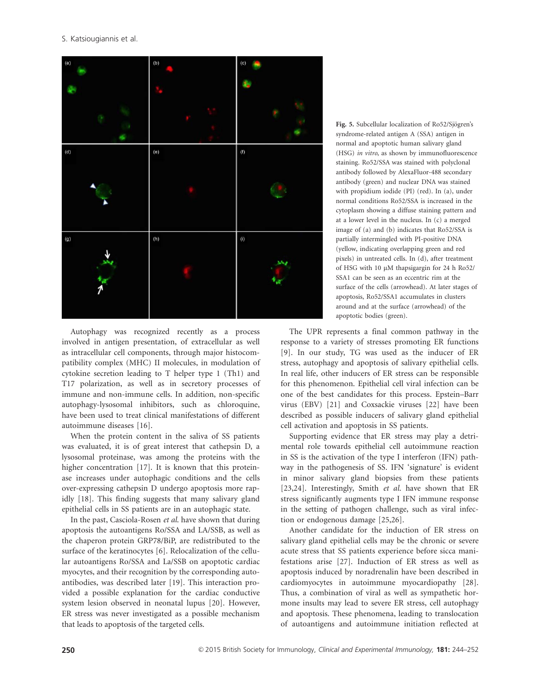

Autophagy was recognized recently as a process involved in antigen presentation, of extracellular as well as intracellular cell components, through major histocompatibility complex (MHC) II molecules, in modulation of cytokine secretion leading to T helper type 1 (Th1) and T17 polarization, as well as in secretory processes of immune and non-immune cells. In addition, non-specific autophagy-lysosomal inhibitors, such as chloroquine, have been used to treat clinical manifestations of different autoimmune diseases [16].

When the protein content in the saliva of SS patients was evaluated, it is of great interest that cathepsin D, a lysosomal proteinase, was among the proteins with the higher concentration [17]. It is known that this proteinase increases under autophagic conditions and the cells over-expressing cathepsin D undergo apoptosis more rapidly [18]. This finding suggests that many salivary gland epithelial cells in SS patients are in an autophagic state.

In the past, Casciola-Rosen et al. have shown that during apoptosis the autoantigens Ro/SSA and LA/SSB, as well as the chaperon protein GRP78/BiP, are redistributed to the surface of the keratinocytes [6]. Relocalization of the cellular autoantigens Ro/SSA and La/SSB on apoptotic cardiac myocytes, and their recognition by the corresponding autoantibodies, was described later [19]. This interaction provided a possible explanation for the cardiac conductive system lesion observed in neonatal lupus [20]. However, ER stress was never investigated as a possible mechanism that leads to apoptosis of the targeted cells.

Fig. 5. Subcellular localization of Ro52/Sjögren's syndrome-related antigen A (SSA) antigen in normal and apoptotic human salivary gland (HSG) in vitro, as shown by immunofluorescence staining. Ro52/SSA was stained with polyclonal antibody followed by AlexaFluor-488 secondary antibody (green) and nuclear DNA was stained with propidium iodide (PI) (red). In (a), under normal conditions Ro52/SSA is increased in the cytoplasm showing a diffuse staining pattern and at a lower level in the nucleus. In (c) a merged image of (a) and (b) indicates that Ro52/SSA is partially intermingled with PI-positive DNA (yellow, indicating overlapping green and red pixels) in untreated cells. In (d), after treatment of HSG with 10 µM thapsigargin for 24 h Ro52/ SSA1 can be seen as an eccentric rim at the surface of the cells (arrowhead). At later stages of apoptosis, Ro52/SSA1 accumulates in clusters around and at the surface (arrowhead) of the apoptotic bodies (green).

The UPR represents a final common pathway in the response to a variety of stresses promoting ER functions [9]. In our study, TG was used as the inducer of ER stress, autophagy and apoptosis of salivary epithelial cells. In real life, other inducers of ER stress can be responsible for this phenomenon. Epithelial cell viral infection can be one of the best candidates for this process. Epstein–Barr virus (EBV) [21] and Coxsackie viruses [22] have been described as possible inducers of salivary gland epithelial cell activation and apoptosis in SS patients.

Supporting evidence that ER stress may play a detrimental role towards epithelial cell autoimmune reaction in SS is the activation of the type I interferon (IFN) pathway in the pathogenesis of SS. IFN 'signature' is evident in minor salivary gland biopsies from these patients [23,24]. Interestingly, Smith et al. have shown that ER stress significantly augments type I IFN immune response in the setting of pathogen challenge, such as viral infection or endogenous damage [25,26].

Another candidate for the induction of ER stress on salivary gland epithelial cells may be the chronic or severe acute stress that SS patients experience before sicca manifestations arise [27]. Induction of ER stress as well as apoptosis induced by noradrenalin have been described in cardiomyocytes in autoimmune myocardiopathy [28]. Thus, a combination of viral as well as sympathetic hormone insults may lead to severe ER stress, cell autophagy and apoptosis. These phenomena, leading to translocation of autoantigens and autoimmune initiation reflected at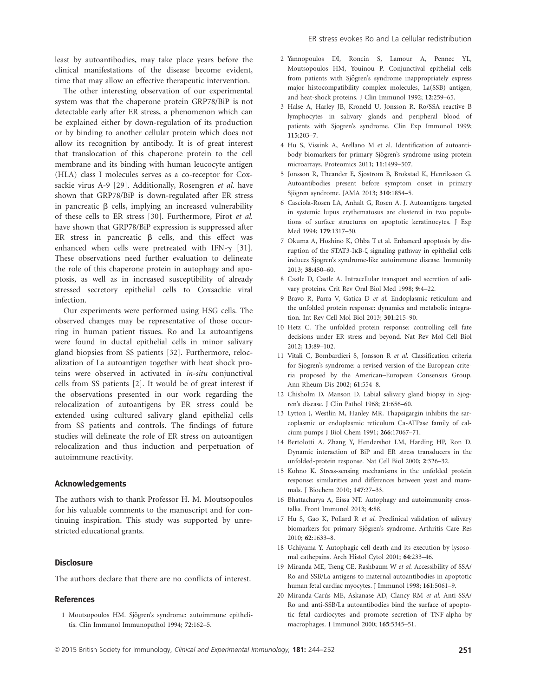least by autoantibodies, may take place years before the clinical manifestations of the disease become evident, time that may allow an effective therapeutic intervention.

The other interesting observation of our experimental system was that the chaperone protein GRP78/BiP is not detectable early after ER stress, a phenomenon which can be explained either by down-regulation of its production or by binding to another cellular protein which does not allow its recognition by antibody. It is of great interest that translocation of this chaperone protein to the cell membrane and its binding with human leucocyte antigen (HLA) class I molecules serves as a co-receptor for Coxsackie virus A-9 [29]. Additionally, Rosengren et al. have shown that GRP78/BiP is down-regulated after ER stress in pancreatic  $\beta$  cells, implying an increased vulnerability of these cells to ER stress [30]. Furthermore, Pirot et al. have shown that GRP78/BiP expression is suppressed after ER stress in pancreatic  $\beta$  cells, and this effect was enhanced when cells were pretreated with IFN- $\gamma$  [31]. These observations need further evaluation to delineate the role of this chaperone protein in autophagy and apoptosis, as well as in increased susceptibility of already stressed secretory epithelial cells to Coxsackie viral infection.

Our experiments were performed using HSG cells. The observed changes may be representative of those occurring in human patient tissues. Ro and La autoantigens were found in ductal epithelial cells in minor salivary gland biopsies from SS patients [32]. Furthermore, relocalization of La autoantigen together with heat shock proteins were observed in activated in in-situ conjunctival cells from SS patients [2]. It would be of great interest if the observations presented in our work regarding the relocalization of autoantigens by ER stress could be extended using cultured salivary gland epithelial cells from SS patients and controls. The findings of future studies will delineate the role of ER stress on autoantigen relocalization and thus induction and perpetuation of autoimmune reactivity.

#### Acknowledgements

The authors wish to thank Professor H. M. Moutsopoulos for his valuable comments to the manuscript and for continuing inspiration. This study was supported by unrestricted educational grants.

### **Disclosure**

The authors declare that there are no conflicts of interest.

### References

1 Moutsopoulos HM. Sjögren's syndrome: autoimmune epithelitis. Clin Immunol Immunopathol 1994; 72:162–5.

- 2 Yannopoulos DI, Roncin S, Lamour A, Pennec YL, Moutsopoulos HM, Youinou P. Conjunctival epithelial cells from patients with Sjögren's syndrome inappropriately express major histocompatibility complex molecules, La(SSB) antigen, and heat-shock proteins. J Clin Immunol 1992; 12:259–65.
- 3 Halse A, Harley JB, Kroneld U, Jonsson R. Ro/SSA reactive B lymphocytes in salivary glands and peripheral blood of patients with Sjogren's syndrome. Clin Exp Immunol 1999; 115:203–7.
- 4 Hu S, Vissink A, Arellano M et al. Identification of autoantibody biomarkers for primary Sjögren's syndrome using protein microarrays. Proteomics 2011; 11:1499–507.
- 5 Jonsson R, Theander E, Sjostrom B, Brokstad K, Henriksson G. Autoantibodies present before symptom onset in primary Sjögren syndrome. JAMA 2013; 310:1854-5.
- 6 Casciola-Rosen LA, Anhalt G, Rosen A. J. Autoantigens targeted in systemic lupus erythematosus are clustered in two populations of surface structures on apoptotic keratinocytes. J Exp Med 1994; 179:1317–30.
- 7 Okuma A, Hoshino K, Ohba T et al. Enhanced apoptosis by disruption of the STAT3-IKB- $\zeta$  signaling pathway in epithelial cells induces Sjogren's syndrome-like autoimmune disease. Immunity 2013; 38:450–60.
- 8 Castle D, Castle A. Intracellular transport and secretion of salivary proteins. Crit Rev Oral Biol Med 1998; 9:4–22.
- 9 Bravo R, Parra V, Gatica D et al. Endoplasmic reticulum and the unfolded protein response: dynamics and metabolic integration. Int Rev Cell Mol Biol 2013; 301:215–90.
- 10 Hetz C. The unfolded protein response: controlling cell fate decisions under ER stress and beyond. Nat Rev Mol Cell Biol 2012; 13:89–102.
- 11 Vitali C, Bombardieri S, Jonsson R et al. Classification criteria for Sjogren's syndrome: a revised version of the European criteria proposed by the American–European Consensus Group. Ann Rheum Dis 2002; 61:554–8.
- 12 Chisholm D, Manson D. Labial salivary gland biopsy in Sjogren's disease. J Clin Pathol 1968; 21:656–60.
- 13 Lytton J, Westlin M, Hanley MR. Thapsigargin inhibits the sarcoplasmic or endoplasmic reticulum Ca-ATPase family of calcium pumps J Biol Chem 1991; 266:17067–71.
- 14 Bertolotti A. Zhang Y, Hendershot LM, Harding HP, Ron D. Dynamic interaction of BiP and ER stress transducers in the unfolded-protein response. Nat Cell Biol 2000; 2:326–32.
- 15 Kohno K. Stress-sensing mechanisms in the unfolded protein response: similarities and differences between yeast and mammals. J Biochem 2010; 147:27–33.
- 16 Bhattacharya A, Eissa NT. Autophagy and autoimmunity crosstalks. Front Immunol 2013; 4:88.
- 17 Hu S, Gao K, Pollard R et al. Preclinical validation of salivary biomarkers for primary Sjögren's syndrome. Arthritis Care Res 2010; 62:1633–8.
- 18 Uchiyama Y. Autophagic cell death and its execution by lysosomal cathepsins. Arch Histol Cytol 2001; 64:233–46.
- 19 Miranda ME, Tseng CE, Rashbaum W et al. Accessibility of SSA/ Ro and SSB/La antigens to maternal autoantibodies in apoptotic human fetal cardiac myocytes. J Immunol 1998; 161:5061–9.
- 20 Miranda-Carús ME, Askanase AD, Clancy RM et al. Anti-SSA/ Ro and anti-SSB/La autoantibodies bind the surface of apoptotic fetal cardiocytes and promote secretion of TNF-alpha by macrophages. J Immunol 2000; 165:5345–51.